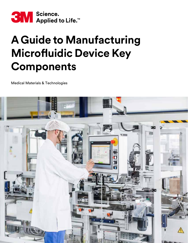

# **A Guide to Manufacturing Microfluidic Device Key Components**

Medical Materials & Technologies

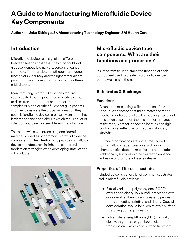# **A Guide to Manufacturing Microfluidic Device Key Components**

**Authors: Jake Eldridge, Sr. Manufacturing Technology Engineer, 3M Health Care**

# **Introduction**

Microfluidic devices can signal the difference between health and illness. They monitor blood glucose, genetic biomarkers, screen for cancer, and more. They can detect pathogens and genetic biomarkers. Accuracy and the right materials are paramount as you design and manufacture these critical tools.

Manufacturing microfluidic devices requires sophisticated techniques. These sensitive strips or discs transport, protect and detect important samples of blood or other fluids that give patients and their caregivers the crucial information they need. Microfluidic devices are usually small and have intricate channels and circuits which require a lot of attention and care to assemble and manufacture.

This paper will cover processing considerations and material properties of common microfluidic device components. The intention is to provide microfluidic device manufacturers insight into successful fabrication strategies when developing state-of-theart products.



# **Microfluidic device tape components: What are their functions and properties?**

It's important to understand the function of each component used to create microfluidic devices before we classify them.

## **Substrates & Backings**

#### Functions

A substrate or backing is like the spine of the tape. It is the component that dictates the tape's mechanical characteristics. The backing type should be chosen based upon the desired performance of the tape, whether it needs to be thick and rigid, conformable, reflective, or in some instances, stretchy.

Surface modifications are sometimes added for microfluidic tapes to enable hydrophilic characteristics depending on its desired function. Additionally, surfaces can be treated to enhance adhesion or promote adhesive release.

#### Properties of different substrates

Included below is a short list of common substrates used in microfluidic devices:

- Biaxially oriented polypropylene (BOPP): offers good clarity, low autofluorescence with considerable strength and is easy to process in terms of coating, printing, and slitting. Special consideration should be given to avoid surface scratching during processing.
- Polyethylene terephthalate (PET): naturally clear with good strength. Low moisture transmission. Easy to add surface treatment.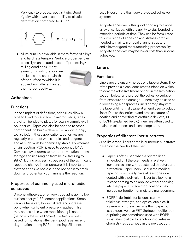Very easy to process, coat, slit etc. Good rigidity with lower susceptibility to plastic deformation compared to BOPP.



• Aluminum Foil: available in many forms of alloys and hardness tempers. Surface properties can be easily manipulated based off processing/ milling conditions. Many

aluminum configurations are malleable and can retain shape of the surface to which it is applied and offer enhanced thermal conductivity.



#### **Adhesives**

#### Functions

In the simplest of definitions, adhesives allow a tape to bond to a surface. In microfluidics, tapes are often bonded to plates for sealing sample-well boundaries. Tapes can also be bonded to other components to build a device (i.e. lab-on-a-chip, test strips). In these applications, adhesives are regularly in contact with samples and reagents, and as such must be chemically stable. Polymerase chain reaction (PCR) is used to sequence DNA. Devices may undergo temperature variation during storage and use ranging from below freezing to 98°C. During processing, because of the significant repeated change in temperature, it is important that the adhesive not lose bond nor begin to breakdown and potentially contaminate the reaction.

#### Properties of commonly used microfluidic adhesives

Silicone adhesives: offer very good adhesion to low surface energy (LSE) contact applications. Some variants have very low initial tack and increase bond when sufficient pressure is applied. This may be desirable when repositioning is needed (i.e. on a plate or well cover). Certain siliconebased formulations offer very good resistance to degradation during PCR processing. Silicones

usually cost more than acrylate-based adhesive systems.

Acrylate adhesives: offer good bonding to a wide array of surfaces, with the ability to stay bonded for extended periods of time. They can be formulated to suit a range of adhesion and stiffness profiles needed to maintain critical channel structure and allow for good manufacturing processability. Acrylate adhesives may be lower cost than silicone adhesives.

#### **Liners**

#### Functions

Liners are the unsung heroes of a tape system. They often provide a clean, consistent surface on which to coat the adhesive (more on this in the lamination section below) and protect the adhesive surface from exposure and damage. Liners may be used as a processing aide (process liner) or may stay with the tape until its final usage at an end user (product liner). Due to the intricate and precise nature of coating and converting microfluidic devices, PET or BOPP (explained below) liners are often used to maintain tolerances and clean edge cuts.

#### Properties of different liner substrates

Just like a tape, liners come in numerous substrates based on the needs of the user.

- Paper is often used when a printed liner is needed or if the user needs a relatively inexpensive liner with substantial structure and protection. Paper liners used in the medical tape industry usually have at least one side coated with a poly-olefin layer to allow for a release coating to be applied without soaking into the paper. Surface modifications may include perforation for moisture management.
- BOPP is desirable for its consistency in thickness, strength, and optical qualities. It is generally more expensive than paper but less expensive than PET. Surface modification or priming are sometimes used with BOPP substrates to allow for anchoring of release chemistry (as described in the next section)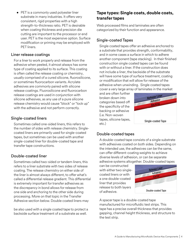• PET is a commonly used polyester liner substrate in many industries. It offers very consistent, rigid properties with a high strength-to-thickness ratio. PET is desirable when coating thickness and precision die cutting are important to the processor or end user. PET is the most expensive option. Surface modification or priming may be employed with PET liners.

#### Liner release coatings

For a liner to work properly and release from the adhesive when peeled, it almost always has some type of coating applied to its surface. This coating is often called the release coating or chemistry, usually comprised of a cured silicone, fluorosilicone, or sometimes fluorocarbon variants. Acrylate adhesives are commonly paired with silicone release coatings. Fluorosilicone and fluorocarbon release coatings are used in conjunction with silicone adhesives, as any use of a pure silicone release chemistry would cause "block" or "lock up" with the adhesive and not perform correctly.

#### Single-coated liners

Sometimes called one-sided liners, this refers to the number of sides with release chemistry. Singlecoated liners are primarily used for single-coated tapes, but sometimes can be used with another single-coated liner for double-coated tape and transfer tape constructions.

#### Double-coated liner

Sometimes called two-sided or tandem liners, this refers to a liner substrate with two sides of release coating. The release chemistry on either side of the liner is almost always different, to offer what's called a differential release gradient. This differential is extremely important for transfer adhesives as the discrepancy in bond allows for release from one side and anchoring to the other side during processing. More on that topic in the Transfer Adhesive section below. Double coated liners may

be also used with a single coated tape to protect a backside surface treatment of a substrate as well.

#### **Tape types: Single coats, double coats, transfer tapes**

Web processed films and laminates are often categorized by their function and appearance.

#### Single-coated Tapes

Single coated tapes offer an adhesive anchored to a substrate that provides strength, conformability, and in some cases a surface in which to adhere another component (tape stacking). In their finished construction single coated tapes can be found with or without a liner. If the construction does not include a liner, the backside of the substrate will have some type of surface treatment, coating or modification that will allow for release of the adhesive when unwinding. Single coated tapes cover a very large array of laminates in the market

and are often further broken down into categories based off the specificity of the backing or adhesive (i.e. Non-woven tapes, silicone tapes, etc.)



#### Double-coated tapes

A double-coated tape consists of a single substrate with adhesives coated on both sides. Depending on the intended use, the adhesives can be the same, can offer different-coating weights to achieve diverse levels of adhesion, or can be separate adhesive systems altogether. Double-coated tapes

can be constructed with either two singlecoated liners or with a one double-coated liner that provides release to both layers of adhesive.



A spacer tape is a double-coated tape manufactured for microfluidic test strips. This tape has a precise overall thickness that provides gapping, channel height thickness, and structure to the test strip.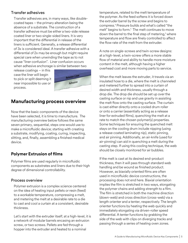#### Transfer adhesives

Transfer adhesives are, in many ways, like doublecoated tapes – the primary alteration being the absence of a substrate. The construction of a transfer adhesive must be either a two-side release coated liner or two single-sided liners. It is very important that the differential in release of the liners is sufficient. Generally, a release differential of 3x is considered ideal. A transfer adhesive with a differential of 2x may be enough but might require special care when unwinding the tape as to not cause "liner confusion". Liner confusion occurs when adhesive anchorage is similar between two

release coatings – in this case the liner will begin to pick or split deeming it near impossible to use or process.



# **Manufacturing process overview**

Now that the basic components of the device have been selected, it is time to manufacture. The manufacturing overview below follows the same seven primary, sequential, steps one would use to make a microfluidic device; starting with creating a substrate, modifying, coating, curing, inspecting, slitting, and, finally, assembling a finished medical device.

# **Polymer Extrusion of films**

Polymer films are used regularly in microfluidic components as substrates and liners due to their high degree of dimensional controllability.

#### Process overview

Polymer extrusion is a complex science centered on the idea of heating input pellets or resin (feed) to a workable temperature, compressing a melt, and metering the melt at a desirable rate to a die to cast and cool a curtain at a consistent, desirable thickness.

Let's start with the extruder itself; at a high-level, it is a network of modular barrels encasing an extrusion screw, or two screws. Pellets are fed through a hopper into the extruder and heated to a nominal

temperature, related to the melt temperature of the polymer. As the feed softens it is forced down the extruder barrel by the screw and begins to compress.1 Pressure builds and what's called "the melt" begins to form.<sup>1</sup> The melt continues to move down the barrel to the final step of metering,<sup>1</sup> where temperature and flow are finely controlled to affect the flow rate of the melt from the extruder.

A note on single-screws and twin-screw designs: at a high-level, a twin-screw offers a more stable flow of material and ability to handle more moisture content in the melt, although having a higher overhead cost and more moving parts to service.

When the melt leaves the extruder, it travels via an insulated hose to a die, where the melt is channeled and metered further to spread into a curtain of desired width and thickness, usually through a drop die. The drop die should be set up over the casting surface or nip and use gravity in assisting the melt flow onto the casting surface. The curtain is cast either directly onto a cooled drum roller or onto a carrier (essentially acting as a release liner for extruded films), quenching the melt at a rate to match the chosen polymer(s) properties. Some techniques for ensuring the quenched melt stays on the cooling drum include nipping (using a release coated laminating nip), static pinning, and air pinning. Additionally, an air-knife (used for air-pinning) can aid in quenching a melt during the casting step. If using this cooling technique, the web should be closely monitored for air bubbles.

If the melt is cast at its desired end-product thickness, then it will pass through standard web handling and be wound as finished product. However, as biaxially oriented films are often used in microfluidic device constructions, the processing does not end here. Biaxial orientation implies the film is stretched in two ways, elongating the polymer chains and adding strength to a film. The film is stretched in both the machine direction (down-web) and cross direction (cross-web) via a length orienter and a tenter, respectively. The length orienter functions by heating the web quickly and immediately elongating via driven-roller speed differential. A tenter functions by grabbing the side of the web with clips on diverging tracks and passing through a series of heating oven zones.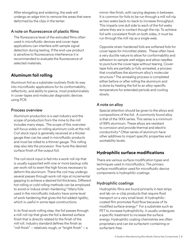After elongating and widening, the web will undergo an edge trim to remove the areas that were deformed by the clips in the tenter.

#### A note on fluorescence of plastic films

The florescence level of the extruded films often used in microfluidic devices and cover-tape applications can interfere with sample signal detection during testing. If the end-use product is sensitive to fluorescence interference it is recommended to evaluate the fluorescence of selected materials.

# **Aluminum foil rolling**

Aluminum foil as a substrate routinely finds its way into microfluidic applications for its conformability, reflectivity, and ability to pierce, most predominately in cover-tapes and molecular diagnostic devices using PCR.

#### Process overview

Aluminum production is a vast industry and the scope of production from the mine to the mill includes many steps. The scope of this overview will focus solely on rolling aluminum coils at the mill. Coil stock input is generally received at a thicker gauge than can be used in microfluidic products and must be rolled to a thinner gauge. This rolling step also lets the processor fine-tune the desired surface finish of the output foil.

The coil stock input is fed into a work-roll nip that is usually supported with one or more backup rolls per work roll to exert the high forces necessary to deform the aluminum. There the coil may undergo several passes through work roll nips at incremental gapping to achieve a desired foil thickness. Different hot rolling or cold rolling methods can be employed to avoid or induce strain-hardening.<sup>2</sup> Many foils used in the microfluidic industry have some level of work hardening that gives the foil added rigidity, which is useful in some tape constructions.

In its final work-rolling step, the foil passes through a mill-roll nip that gives the foil a desired surface finish that is directly related to the finish of the mill roll. Industry standard defines the finish as "mill finish" – relatively rough, or "bright finish" – a

mirror-like finish, with varying degrees in between. It is common for foils to be run through a mill roll nip as two webs back-to-back to increase throughput. This imparts one dull side to each of the foil webs where they are in contact though the nip. To achieve foil with consistent finish on both sides, it must be run through the mill nip as a single web.

Opposite strain-hardened foils are softened foils for cover tapes for microtiter plates. These often have a very ductile nature to allow for conformability and adhesion to sample well edges and allow needles to puncture the cover tape without tearing. Covertape foils are partially or fully annealed, a process that crystallizes the aluminum alloy's molecular structure.<sup>3</sup> The annealing process is completed either before or after rolling the aluminum and is done by heating the foil to an alloy-specific temperature for extended periods and cooling slowly.

#### A note on alloy

Special attention should be given to the alloys and compositions of the foil. A commonly found alloy is that of the 1XXX series. This series is a minimum of 99% aluminum. These alloys are resistant to corrosion and provide thermal and electric conductivity.4 Other series of aluminum have other additives to impart specific properties and workability levels.

# **Hydrophilic surface modifications**

There are various surface modification types and techniques used in microfluidics. The primary surface modification used for microfluidic device components is hydrophilic coatings.

#### Hydrophilic coatings

Hydrophilic films are found primarily in test strips and lab-on-a-chip products that require fluid transport on a very small level. A hydrophiliccoated film promotes fluid flow because of its modified surface energy.<sup>5</sup> For a substrate such as PET to increase hydrophilicity, it usually undergoes a specific treatment to increase the surface energy. Hydrophilic coating chemistries are often proprietary and can be surfactant-containing or surfactant-free.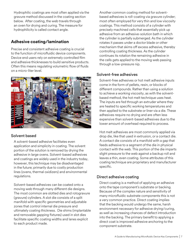Hydrophilic coatings are most often applied via the gravure method discussed in the coating section below. After coating, the web travels through an oven for drying and curing. The measure for hydrophilicity is called contact angle.

### **Adhesive coating/lamination**

Precise and consistent adhesive coating is crucial to the function of microfluidic device components. Device end users rely on extremely controlled film and adhesive thicknesses to build sensitive products. Often this means regulating volumetric flow of fluids on a micro-liter level.



#### Solvent based

A solvent-based adhesive facilitates even application and simplicity in coating. The solvent portion of the solution is removed by drying the adhesive in large ovens. Solvent-based adhesives and coatings are widely used in the industry today, however, this technique may be disadvantaged in the future; primarily due to costly production lines (ovens, thermal oxidizers) and environmental regulations.

Solvent-based adhesives can be coated onto a moving web through many different die designs. The most common are slotted dies and rotogravure (gravure) cylinders. A slot die consists of a split manifold with specific geometries and adjustable zones that control internal die pressure and ultimately coating thickness. Die shims (implantable and removable gapping fixtures) used in slot dies facilitate specific coating widths and lanes explicit to each product made.

Another common coating method for solventbased adhesives is roll-coating via gravure cylinder; most often employed for very thin and low viscosity coatings. This method consists of a cylinder with precisely machined cells that essentially pick up adhesive from an adhesive-solution bath in which the cylinder is partially submerged. As the cylinder rotates it passes under a doctor blade or other mechanism that skims off excess adhesive, thereby controlling coating thickness. As the cylinder continues its rotation the remaining adhesive in the cells gets applied to the moving web passing through a low-pressure nip.

#### Solvent-free adhesives

Solvent-free adhesives or hot melt adhesive inputs come in the form of pellets, resin, or blocks of different compounds. Rather than using a solution to achieve a working viscosity, as with the solventbased method, the hot melt technique uses heat. The inputs are fed through an extruder where they are heated to specific working temperatures and then applied to the substrate or liner via a die. These adhesives require no drying and are often less expensive than solvent-based adhesives due to the lower amount of overhead required to process.

Hot melt adhesives are most commonly applied via drop die, like that used in extrusion, or a contact die. A contact die consists of a manifold with a gap that feeds adhesive to a segment of the die in physical contact with the web. This portion of the die imparts slight pressure to the web against a backup roll and leaves a thin, even coating. Some attributes of this coating technique are proprietary and manufacturer specific.

#### Direct adhesive coating

Direct coating is a method of applying an adhesive onto the tape component's substrate or backing. Because of the complex nature and sensitivity of many microfluidic substrate components this is not a very common practice. Direct coating implies that the backing would undergo the same, harsh environment necessary for adhesive drying/curing, as well as increasing chances of defect introduction into the backing. The primary benefit to applying a direct coat is improved adhesive anchoring to the component substrate.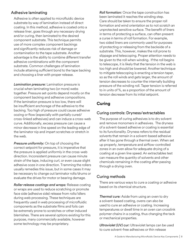#### Adhesive laminating

Adhesive is often applied to microfluidic device substrate by way of lamination instead of direct coating. In this method, adhesive is coated onto a release liner, goes through any necessary drying and/or curing, then laminated to the desired component substrate. This technique permits use of more complex component backings and significantly reduces risk of damage or contamination to the tape substrate. Another advantage is the ability to combine different transfer adhesive combinations with the component substrate. Common challenges of lamination include attaining sufficient bond to the tape backing and choosing a liner with proper release.

*Lamination pressure:* Lamination pressure is crucial when laminating two (or more) webs together. Pressure set-points depend mostly on the component backing and adhesive compositions. If the lamination pressure is too low, there will be insufficient anchorage of the adhesive to the backing. Too high of pressure could cause adhesive oozing or flow (especially with partially cured/ cross-linked adhesives) and can induce a cross-web curve. Additionally, excess pressure can cause a minor decrease in line speed on the leading edge of the laminator nip and impart scratches or stretch in the web.

*Pressure uniformity:* On top of choosing the correct setpoint for pressure, it is imperative that the pressure is applied uniformly in the cross-web direction. Inconsistent pressure can cause minute strain of the tape, inducing curl, or even cause slight adhesive ooze in one direction. Tramming the rollers usually remedies this issue, but in some cases it may be necessary to change out laminator rolls/drums or evaluate the drives for motor or bearing damage.

*Roller release coatings and wraps:* Release coating or wraps are used to reduce scratching or promote face side (adhesive side) release from rolls/idlers during web processing. These techniques are frequently used in web processing of microfluidic components as the substrate films and foils can be extremely prone to scratches or other induced blemishes. There are several options existing for this purpose, many commercially available, however some technology may be proprietary.

*Roll formation:* Once the tape construction has been laminated it reaches the winding step. Care should be taken to ensure the proper roll formation and wind orientation as to not scratch an unprotected sensitive surface. The benefit of liners in terms of protecting a surface, can often present a curse in terms of roll formation. For example, two sided liners are commonly used for purposes of protecting or releasing from the backside of a substrate. This, however, makes the roll prone to slippage and telescoping. Proper attention needs to be given to the roll when winding. If the roll begins to telescope, it is likely that the tension in the web is too high and should be lowered. Another technique to mitigate telescoping is enacting a tension taper, so as the roll winds and gets larger, the amount of tension decreases to counter the internally building pressure of the winding roll. Taper tension is referred to in units of %, as a proportion of the amount of tension decrease from its initial setpoint.

# **Curing**

#### Curing controls: Dryness/extractables

The purpose of curing adhesives is to dry solvent and remove monomers in adhesives. The dryness of a solvent-based adhesive or coating is essential to its functionality. Dryness refers to the residual solvents that remain in a solvent-based adhesive after it has gone through a thermal oven. When set up properly, temperature and airflow-controlled zones in an oven allow for adequate drying of a coating at a given line speed. An extractables test can measure the quantity of solvents and other chemicals remaining in the coating after passing through a drying oven.

#### Curing methods

There are various ways to cure a coating or adhesive based on its chemical structure.

*Thermal cure:* Aside from using an oven to dry a solvent-based coating, ovens can also be used to cure an adhesive or coating. Increasing temperatures or dwell time in an oven can crosslink polymer chains in a coating, thus changing the tack or mechanical properties.

*Ultraviolet (UV) cur:* Ultraviolet lamps can be used to cure solvent-free adhesives or thin release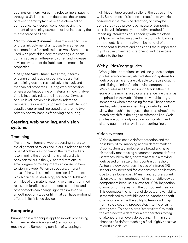coatings on liners. For curing release liners, passing through a UV lamp station decreases the amount of "free" chemistry (active release chemical or compound, i.e. Fluorosilicone) decreasing the amount of remaining extractables but increasing the release force of a liner.

*Electron beam (E-beam):* E-beam is used to cure or crosslink polymer chains, usually in adhesives, but sometimes for sterilization as well. Sometimes used with post-dried acrylate coatings, e-beam curing causes an adhesive to stiffen and increase in viscosity to meet desirable tack or mechanical properties.

*Line speed/dwell time:* Dwell time, in terms of curing an adhesive or coating, is essential to attaining desired residual solvents, tack and mechanical properties. During web processing, where a continuous line of material is moving, dwell time is inversely related to line speed. Dryness or cure level, however, is directly related to temperature or energy supplied to a web. As such, supplied energy and line speed then are the two primary control handles for drying and curing.

#### **Steering, web handling, and vision systems**

#### Tramming

Tramming, in terms of web processing, refers to the alignment of rollers and idlers in relation to each other. Another way to think of the tram of rollers is to imagine the three-dimensional parallelism between rollers in the x, y, and z directions. A small degree of misalignment can cause uneven tension in a web. When this occurs, different areas of the web see minute tension differences which can cause stretching, scratching, folds and wrinkles of the material passing over an untrammed roller. In microfluidic components, scratches and other defects can change light transmission or smoothness of a tape or film that can have profound effects in its finished device.

# **Bumpering**

Bumpering is a technique applied in web processing to influence lateral (cross-web) tension on a moving web. Bumpering consists of wrapping a

high friction tape around a roller at the edges of the web. Sometimes this is done in reaction to wrinkles observed in the machine direction, or it may be done strictly as a preventive measure. Bumpering is a relatively informal, yet effective, method for imparting lateral tension. Especially with the often highly sensitive backing used in microfluidic backing components, it is imperative to be mindful of the component substrate and consider if the bumper tape might cause unwanted scratches or induce excess static into the line.

## Web guides/edge guides

Web guides, sometimes called line guides or edge guides, are commonly utilized steering systems for web processing and are valuable to precise coating and slitting of microfluidic device components. Web guides use light sensors to track either the edge of the moving web or a reference line that may be printed in the web (if there is a variable edge, sometimes when processing foams). These sensors are tied into the equipment logic controller and allow the machine to adjust in the cross direction to match any shift in the edge or reference line. Web guides are commonly used on both coating and slitting equipment as well as converting lines.

#### Vision systems

Vision systems enable defect detection and the possibility of roll mapping and/or defect marking. Vision system technologies are broad and have historically meant using a camera to detect defects (scratches, blemishes, contaminates) in a moving web based off a size or light contrast threshold. As technology advances, the use of infrared (IR) sensors has increased for less sensitive applications due to their lower cost. Many manufacturers want vision systems in production of microfluidic device components because it allows for 100% inspection of nonconforming early in the component creation. This decreases the number of defects and variability in the finished microfluidic device. Another benefit of a vision system is the ability to tie-in a roll map from, say, a coating process step into the ensuing slitting step. This can alert a "smart slitter" to mark the web next to a defect or alert operators to flag or altogether remove a defect, again limiting the chances of a defect reaching a final, highly sensitive microfluidic device.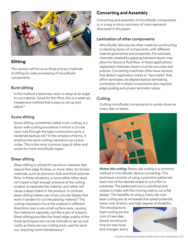

# **Slitting**

This section will focus on three primary methods of slitting for web processing of microfluidic components.

#### Burst slitting

In this method a stationary razor is setup at an angle to cut material. Good for thin films, this is a relatively inexpensive method that is easy to set up and adiust.<sup>6</sup>

#### Score slitting

Score slitting, sometimes called crush cutting, is a down-web cutting procedure in which a circular razor cuts through the tape construction up to a hardened backup roll.<sup>6</sup> In the simplest of terms, it employs the same cutting mechanics as a pizza cutter. This is the most common type of slitter and works for most microfluidic tapes.

#### Shear slitting

Shear slitting is utilized for sensitive materials that require fine edge finishes, or more often, for thicker materials, such as aluminum foils and thick polymer films. In these situations, a score slitter often does not impart a high enough pressure at the cutting location to separate the material, and rather will cause a deep indent in the product. In contrast, shear slitting makes use of two circular blades that work in tandem to cut the passing material.<sup>6</sup> The cutting mechanics force the material in different directions over a very small surface area, causing the material to separate, just like a pair of scissors. Shear slitting provides the finest edge quality of the three techniques but can be intricate to set up and costly as there are two cutting tools used for each cut, requiring more maintenance.<sup>6</sup>

# **Converting and Assembly**

Converting and assembly of microfluidic components is, in a way a micro-summary of many elements discussed in this paper.

#### Lamination of other components

Microfluidic devices are often made by constructing or stacking layers of components, with different internal geometries and properties. For example, channels created by gapping between layers may allow for blood or fluid flow. In these applications registration between layers must be accurate and precise. Converting machines often have sensors that detect registration marks or "eye marks" that affirm laminates are aligned before laminating. Lamination of multiple components also requires edge guiding and proper laminator setup.

#### **Cutting**

Cutting microfluidic components is usually done via rotary dies or lasers.



*Rotary die cutting:* Rotary die cutting is a common method in microfluidic device converting. This technique consists of using a precision patterned hard-tool of the desired shape to cut a film or substrate. The patterned tool is cylindrical and rotates in index with the moving web to cut a flat design. The benefits of using a rotary die over laser cutting are its increased line speed potential, lower cost of entry, and high degree of durability.

The drawbacks to hard-tooling are the cost of new dies, slower turnaround time for new tools and changes, and a

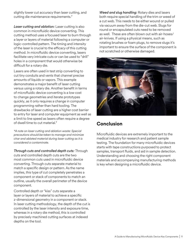slightly lower cut accuracy than laser cutting, and cutting die maintenance requirements.7

*Laser cutting and ablation:* Laser cutting is also common in microfluidic device converting. This cutting method uses a focused laser to burn through a layer or layers of material following a computer or logic-controlled pattern. The timing and intensity of the laser is crucial to the efficacy of this cutting method. In microfluidic device converting, lasers facilitate very intricate cuts or can be used to "drill" holes in a component that would otherwise be difficult for a rotary die.

Lasers are often used in test strip converting to cut tiny conduits and vents that channel precise amounts of liquids or vapors. This example demonstrates a major benefit of laser cutting versus using a rotary die. Another benefit in terms of microfluidic device converting is a low cost to change geometries and iterate prototypes quickly, as it only requires a change in computer programming rather than hard tooling. The drawbacks of laser cutting are a higher cost barrier to entry for laser and computer equipment as well as a limit to line speed as lasers often require a degree of dwell time to cut material.7

*\*A note on laser cutting and ablation waste: Special precautions should be taken to manage and minimize char and ablated material during laser cutting as it is considered a contaminate.*

*Through cuts and controlled depth cuts:* Through cuts and controlled depth cuts are the two most common cuts used in microfluidic device converting. Through cuts separate material to match a specific design or pattern. As the name implies, this type of cut completely penetrates a component or stack of components to match an outline, usually the overall perimeter of the device component.

Controlled depth or "kiss" cuts separate a layer or layers of material to achieve a specific z-dimensional geometry in a component or stack. In laser cutting methodology, the depth of the cut is controlled by the laser intensity and exposure time, whereas in a rotary die method, this is controlled by precisely machined cutting surfaces at indexed depths on the tool.

*Weed and slug handling:* Rotary dies and lasers both require special handling of the trim or weed of a cut web. This needs to be either wound or pulled via vacuum away from the die-cut web. Slugs for round or encapsulated cuts need to be removed as well. These are often blown out with air-hoses/ air-knives. If using a physical means, such as rotating brushes or foam plugs, to remove slugs it's important to ensure the surface of the component is not scratched or otherwise damaged.



# **Conclusion**

Microfluidic devices are extremely important to the medical industry for research and patient sample testing. The foundation for many microfluidic devices starts with tape constructions purposed to protect samples, transport fluids, and aid in sample detection. Understanding and choosing the right component materials and accompanying manufacturing methods is key when designing a microfluidic device.